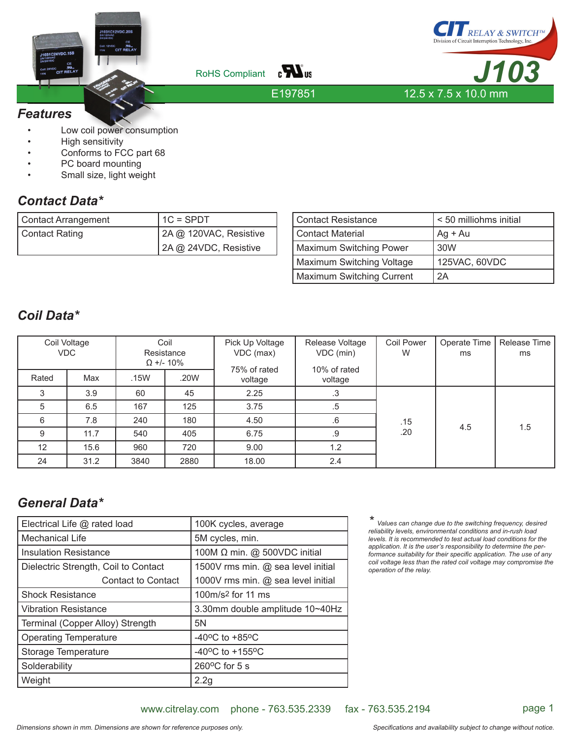





#### *Features eatures*

031C24VDC.15S

 $\sum_{n=1}^{C_E}$ 

- Low coil power consumption
- High sensitivity
- Conforms to FCC part 68
- PC board mounting
- Small size, light weight

#### *Contact Data\**

| Contact Arrangement | $1C = SPDT$                    |  |  |
|---------------------|--------------------------------|--|--|
| Contact Rating      | $\vert$ 2A @ 120VAC, Resistive |  |  |
|                     | $\vert$ 2A @ 24VDC, Resistive  |  |  |

| l Contact Resistance      | < 50 milliohms initial |
|---------------------------|------------------------|
| Contact Material          | $Ag + Au$              |
| Maximum Switching Power   | 30W                    |
| Maximum Switching Voltage | 125VAC, 60VDC          |
| Maximum Switching Current | 2A                     |

## *Coil Data\**

| Coil<br>Coil Voltage<br><b>VDC</b><br>Resistance<br>$\Omega$ +/- 10% |      | Pick Up Voltage<br>Release Voltage<br>VDC (min)<br>VDC (max)<br>75% of rated<br>10% of rated | <b>Coil Power</b><br>W | Operate Time<br>ms | Release Time<br>ms |            |     |     |
|----------------------------------------------------------------------|------|----------------------------------------------------------------------------------------------|------------------------|--------------------|--------------------|------------|-----|-----|
| Rated                                                                | Max  | .15W                                                                                         | .20W                   | voltage            | voltage            |            |     |     |
| 3                                                                    | 3.9  | 60                                                                                           | 45                     | 2.25               | .3                 | .15<br>.20 |     |     |
| 5                                                                    | 6.5  | 167                                                                                          | 125                    | 3.75               | $.5\,$             |            | 4.5 | 1.5 |
| 6                                                                    | 7.8  | 240                                                                                          | 180                    | 4.50               | .6                 |            |     |     |
| 9                                                                    | 11.7 | 540                                                                                          | 405                    | 6.75               | .9                 |            |     |     |
| 12                                                                   | 15.6 | 960                                                                                          | 720                    | 9.00               | 1.2                |            |     |     |
| 24                                                                   | 31.2 | 3840                                                                                         | 2880                   | 18.00              | 2.4                |            |     |     |

### *General Data\**

| Electrical Life @ rated load         | 100K cycles, average                |  |  |
|--------------------------------------|-------------------------------------|--|--|
| Mechanical Life                      | 5M cycles, min.                     |  |  |
| <b>Insulation Resistance</b>         | 100M $\Omega$ min. @ 500VDC initial |  |  |
| Dielectric Strength, Coil to Contact | 1500V rms min. @ sea level initial  |  |  |
| <b>Contact to Contact</b>            | 1000V rms min. @ sea level initial  |  |  |
| <b>Shock Resistance</b>              | 100m/s <sup>2</sup> for 11 ms       |  |  |
| <b>Vibration Resistance</b>          | 3.30mm double amplitude 10~40Hz     |  |  |
| Terminal (Copper Alloy) Strength     | 5N                                  |  |  |
| <b>Operating Temperature</b>         | $-40^{\circ}$ C to $+85^{\circ}$ C  |  |  |
| Storage Temperature                  | $-40^{\circ}$ C to $+155^{\circ}$ C |  |  |
| Solderability                        | $260^{\circ}$ C for 5 s             |  |  |
| Weight                               | 2.2 <sub>g</sub>                    |  |  |

*\* Values can change due to the switching frequency, desired reliability levels, environmental conditions and in-rush load levels. It is recommended to test actual load conditions for the application. It is the user's responsibility to determine the per*formance suitability for their specific application. The use of any *coil voltage less than the rated coil voltage may compromise the operation of the relay.*

www.citrelay.com phone - 763.535.2339 fax - 763.535.2194 page 1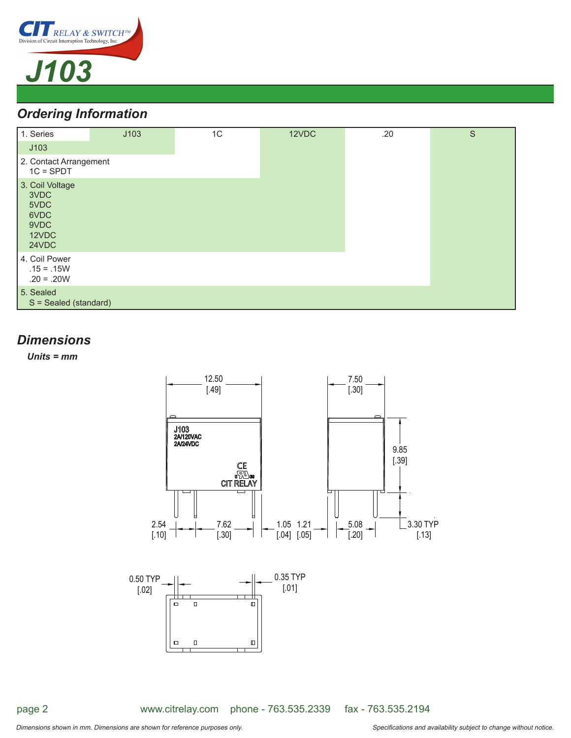

### *Ordering Information*



#### *Dimensions*

*Units = mm*